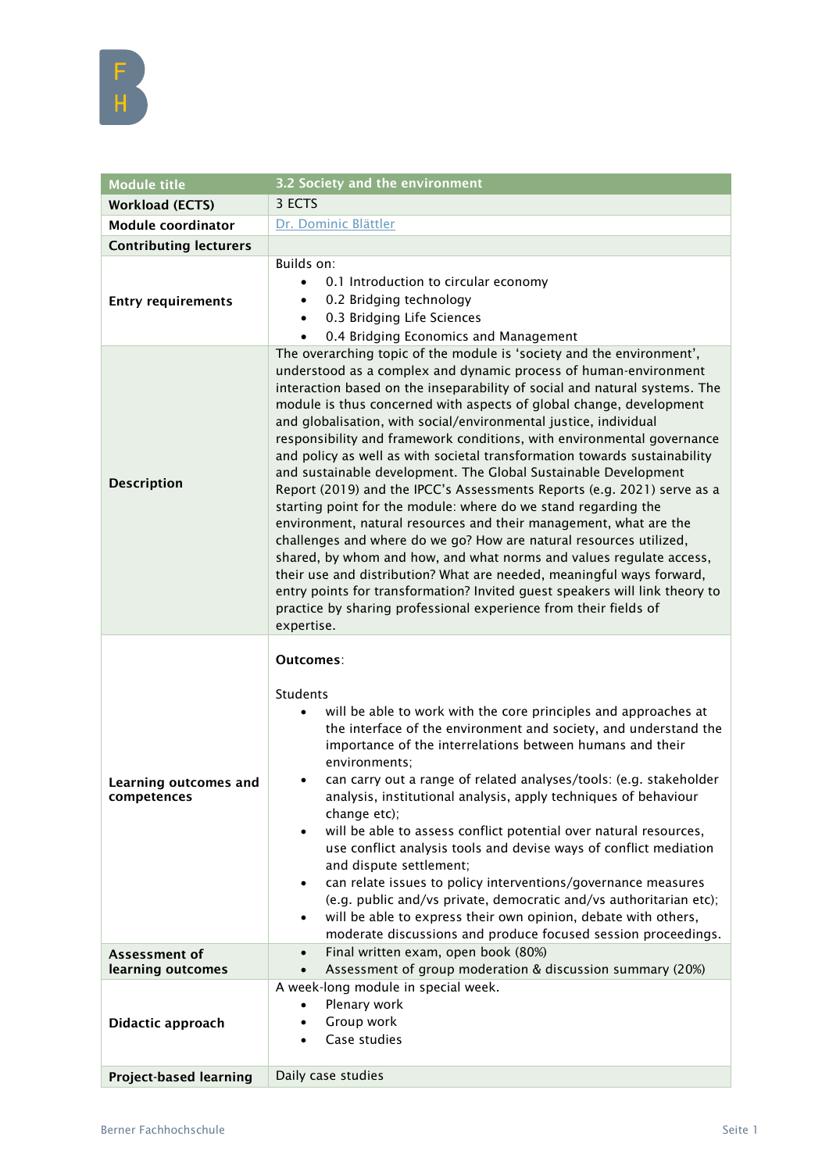| <b>Module title</b>                  | 3.2 Society and the environment                                                                                                                                                                                                                                                                                                                                                                                                                                                                                                                                                                                                                                                                                                                                                                                                                                                                                                                                                                                                                                                                                                                                                                       |
|--------------------------------------|-------------------------------------------------------------------------------------------------------------------------------------------------------------------------------------------------------------------------------------------------------------------------------------------------------------------------------------------------------------------------------------------------------------------------------------------------------------------------------------------------------------------------------------------------------------------------------------------------------------------------------------------------------------------------------------------------------------------------------------------------------------------------------------------------------------------------------------------------------------------------------------------------------------------------------------------------------------------------------------------------------------------------------------------------------------------------------------------------------------------------------------------------------------------------------------------------------|
| <b>Workload (ECTS)</b>               | 3 ECTS                                                                                                                                                                                                                                                                                                                                                                                                                                                                                                                                                                                                                                                                                                                                                                                                                                                                                                                                                                                                                                                                                                                                                                                                |
| <b>Module coordinator</b>            | Dr. Dominic Blättler                                                                                                                                                                                                                                                                                                                                                                                                                                                                                                                                                                                                                                                                                                                                                                                                                                                                                                                                                                                                                                                                                                                                                                                  |
| <b>Contributing lecturers</b>        |                                                                                                                                                                                                                                                                                                                                                                                                                                                                                                                                                                                                                                                                                                                                                                                                                                                                                                                                                                                                                                                                                                                                                                                                       |
| <b>Entry requirements</b>            | Builds on:<br>0.1 Introduction to circular economy<br>0.2 Bridging technology<br>$\bullet$<br>0.3 Bridging Life Sciences<br>$\bullet$<br>0.4 Bridging Economics and Management<br>$\bullet$                                                                                                                                                                                                                                                                                                                                                                                                                                                                                                                                                                                                                                                                                                                                                                                                                                                                                                                                                                                                           |
| <b>Description</b>                   | The overarching topic of the module is 'society and the environment',<br>understood as a complex and dynamic process of human-environment<br>interaction based on the inseparability of social and natural systems. The<br>module is thus concerned with aspects of global change, development<br>and globalisation, with social/environmental justice, individual<br>responsibility and framework conditions, with environmental governance<br>and policy as well as with societal transformation towards sustainability<br>and sustainable development. The Global Sustainable Development<br>Report (2019) and the IPCC's Assessments Reports (e.g. 2021) serve as a<br>starting point for the module: where do we stand regarding the<br>environment, natural resources and their management, what are the<br>challenges and where do we go? How are natural resources utilized,<br>shared, by whom and how, and what norms and values regulate access,<br>their use and distribution? What are needed, meaningful ways forward,<br>entry points for transformation? Invited guest speakers will link theory to<br>practice by sharing professional experience from their fields of<br>expertise. |
| Learning outcomes and<br>competences | Outcomes:<br>Students<br>will be able to work with the core principles and approaches at<br>$\bullet$<br>the interface of the environment and society, and understand the<br>importance of the interrelations between humans and their<br>environments;<br>can carry out a range of related analyses/tools: (e.g. stakeholder<br>٠<br>analysis, institutional analysis, apply techniques of behaviour<br>change etc);<br>will be able to assess conflict potential over natural resources,<br>use conflict analysis tools and devise ways of conflict mediation<br>and dispute settlement;<br>can relate issues to policy interventions/governance measures<br>(e.g. public and/vs private, democratic and/vs authoritarian etc);<br>will be able to express their own opinion, debate with others,<br>moderate discussions and produce focused session proceedings.                                                                                                                                                                                                                                                                                                                                  |
| Assessment of<br>learning outcomes   | Final written exam, open book (80%)<br>$\bullet$<br>Assessment of group moderation & discussion summary (20%)<br>$\bullet$                                                                                                                                                                                                                                                                                                                                                                                                                                                                                                                                                                                                                                                                                                                                                                                                                                                                                                                                                                                                                                                                            |
| Didactic approach                    | A week-long module in special week.<br>Plenary work<br>$\bullet$<br>Group work<br>$\bullet$<br>Case studies<br>$\bullet$                                                                                                                                                                                                                                                                                                                                                                                                                                                                                                                                                                                                                                                                                                                                                                                                                                                                                                                                                                                                                                                                              |
| <b>Project-based learning</b>        | Daily case studies                                                                                                                                                                                                                                                                                                                                                                                                                                                                                                                                                                                                                                                                                                                                                                                                                                                                                                                                                                                                                                                                                                                                                                                    |